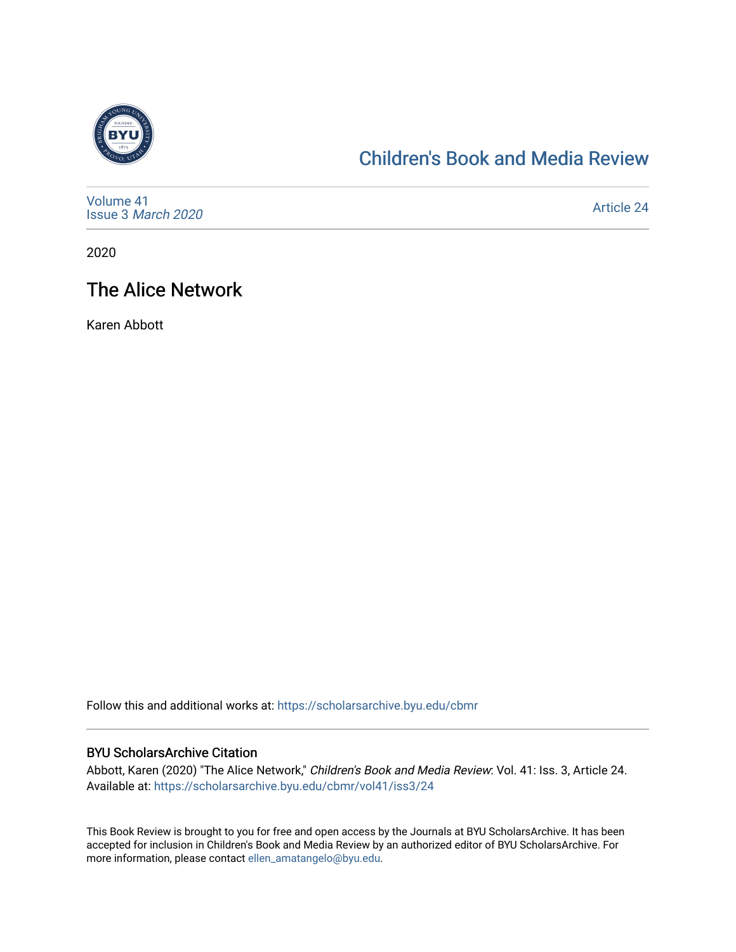

## [Children's Book and Media Review](https://scholarsarchive.byu.edu/cbmr)

| Volume 41<br>Issue 3 March 2020 | Article 24 |
|---------------------------------|------------|
|---------------------------------|------------|

2020

## The Alice Network

Karen Abbott

Follow this and additional works at: [https://scholarsarchive.byu.edu/cbmr](https://scholarsarchive.byu.edu/cbmr?utm_source=scholarsarchive.byu.edu%2Fcbmr%2Fvol41%2Fiss3%2F24&utm_medium=PDF&utm_campaign=PDFCoverPages) 

#### BYU ScholarsArchive Citation

Abbott, Karen (2020) "The Alice Network," Children's Book and Media Review: Vol. 41: Iss. 3, Article 24. Available at: [https://scholarsarchive.byu.edu/cbmr/vol41/iss3/24](https://scholarsarchive.byu.edu/cbmr/vol41/iss3/24?utm_source=scholarsarchive.byu.edu%2Fcbmr%2Fvol41%2Fiss3%2F24&utm_medium=PDF&utm_campaign=PDFCoverPages)

This Book Review is brought to you for free and open access by the Journals at BYU ScholarsArchive. It has been accepted for inclusion in Children's Book and Media Review by an authorized editor of BYU ScholarsArchive. For more information, please contact [ellen\\_amatangelo@byu.edu.](mailto:ellen_amatangelo@byu.edu)